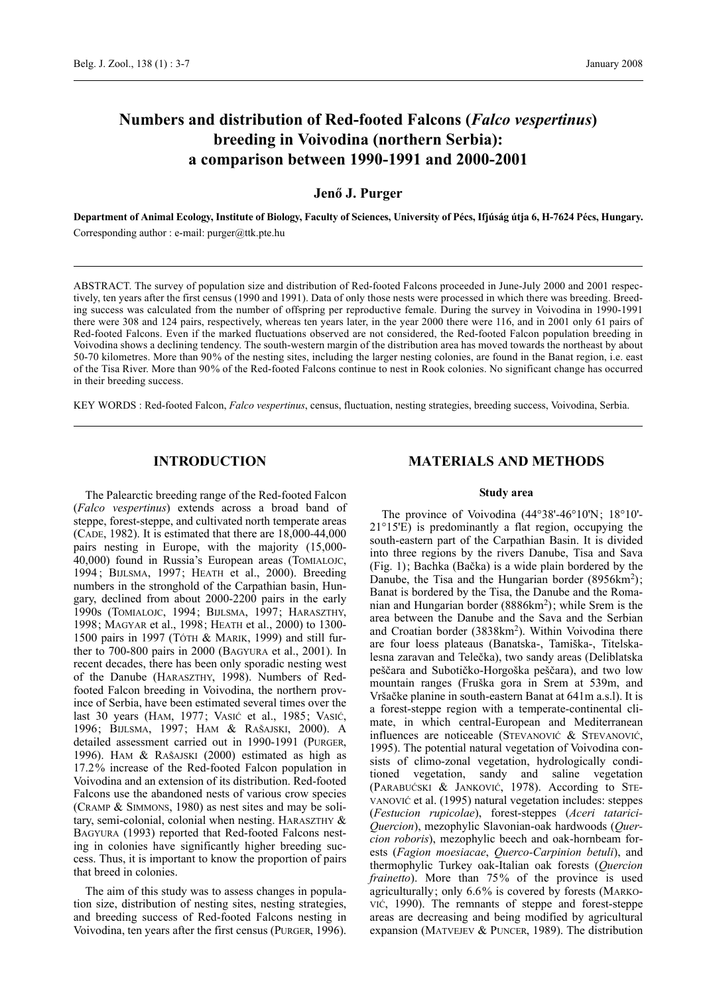# **Numbers and distribution of Red-footed Falcons (***Falco vespertinus***) breeding in Voivodina (northern Serbia): a comparison between 1990-1991 and 2000-2001**

### **Jenő J. Purger**

**Department of Animal Ecology, Institute of Biology, Faculty of Sciences, University of Pécs, Ifjúság útja 6, H-7624 Pécs, Hungary.** Corresponding author : e-mail: purger@ttk.pte.hu

ABSTRACT. The survey of population size and distribution of Red-footed Falcons proceeded in June-July 2000 and 2001 respectively, ten years after the first census (1990 and 1991). Data of only those nests were processed in which there was breeding. Breeding success was calculated from the number of offspring per reproductive female. During the survey in Voivodina in 1990-1991 there were 308 and 124 pairs, respectively, whereas ten years later, in the year 2000 there were 116, and in 2001 only 61 pairs of Red-footed Falcons. Even if the marked fluctuations observed are not considered, the Red-footed Falcon population breeding in Voivodina shows a declining tendency. The south-western margin of the distribution area has moved towards the northeast by about 50-70 kilometres. More than 90% of the nesting sites, including the larger nesting colonies, are found in the Banat region, i.e. east of the Tisa River. More than 90% of the Red-footed Falcons continue to nest in Rook colonies. No significant change has occurred in their breeding success.

KEY WORDS : Red-footed Falcon, *Falco vespertinus*, census, fluctuation, nesting strategies, breeding success, Voivodina, Serbia.

# **INTRODUCTION**

The Palearctic breeding range of the Red-footed Falcon (*Falco vespertinus*) extends across a broad band of steppe, forest-steppe, and cultivated north temperate areas (CADE, 1982). It is estimated that there are 18,000-44,000 pairs nesting in Europe, with the majority (15,000- 40,000) found in Russia's European areas (TOMIALOJC, 1994 ; BIJLSMA, 1997; HEATH et al., 2000). Breeding numbers in the stronghold of the Carpathian basin, Hungary, declined from about 2000-2200 pairs in the early 1990s (TOMIALOJC, 1994; BIJLSMA, 1997; HARASZTHY, 1998; MAGYAR et al., 1998; HEATH et al., 2000) to 1300- 1500 pairs in 1997 (TÓTH & MARIK, 1999) and still further to 700-800 pairs in 2000 (BAGYURA et al., 2001). In recent decades, there has been only sporadic nesting west of the Danube (HARASZTHY, 1998). Numbers of Redfooted Falcon breeding in Voivodina, the northern province of Serbia, have been estimated several times over the last 30 years (HAM, 1977; VASIĆ et al., 1985; VASIĆ, 1996; BIJLSMA, 1997; HAM & RAŠAJSKI, 2000). A detailed assessment carried out in 1990-1991 (PURGER, 1996). HAM & RAŠAJSKI (2000) estimated as high as 17.2% increase of the Red-footed Falcon population in Voivodina and an extension of its distribution. Red-footed Falcons use the abandoned nests of various crow species (CRAMP & SIMMONS, 1980) as nest sites and may be solitary, semi-colonial, colonial when nesting. HARASZTHY & BAGYURA (1993) reported that Red-footed Falcons nesting in colonies have significantly higher breeding success. Thus, it is important to know the proportion of pairs that breed in colonies.

The aim of this study was to assess changes in population size, distribution of nesting sites, nesting strategies, and breeding success of Red-footed Falcons nesting in Voivodina, ten years after the first census (PURGER, 1996).

# **MATERIALS AND METHODS**

#### **Study area**

The province of Voivodina (44°38'-46°10'N; 18°10'- 21°15'E) is predominantly a flat region, occupying the south-eastern part of the Carpathian Basin. It is divided into three regions by the rivers Danube, Tisa and Sava (Fig. 1); Bachka (Bačka) is a wide plain bordered by the Danube, the Tisa and the Hungarian border  $(8956 \text{km}^2)$ ; Banat is bordered by the Tisa, the Danube and the Romanian and Hungarian border (8886km2); while Srem is the area between the Danube and the Sava and the Serbian and Croatian border (3838km<sup>2</sup>). Within Voivodina there are four loess plateaus (Banatska-, Tamiška-, Titelskalesna zaravan and Telečka), two sandy areas (Deliblatska peščara and Subotičko-Horgoška peščara), and two low mountain ranges (Fruška gora in Srem at 539m, and Vršačke planine in south-eastern Banat at 641m a.s.l). It is a forest-steppe region with a temperate-continental climate, in which central-European and Mediterranean influences are noticeable (STEVANOVIĆ & STEVANOVIĆ, 1995). The potential natural vegetation of Voivodina consists of climo-zonal vegetation, hydrologically conditioned vegetation, sandy and saline vegetation (PARABUĆSKI & JANKOVIĆ, 1978). According to STE-VANOVIĆ et al. (1995) natural vegetation includes: steppes (*Festucion rupicolae*), forest-steppes (*Aceri tatarici-Quercion*), mezophylic Slavonian-oak hardwoods (*Quercion roboris*), mezophylic beech and oak-hornbeam forests (*Fagion moesiacae*, *Querco-Carpinion betuli*), and thermophylic Turkey oak-Italian oak forests (*Quercion frainetto*). More than 75% of the province is used agriculturally; only 6.6% is covered by forests (MARKO-VIĆ, 1990). The remnants of steppe and forest-steppe areas are decreasing and being modified by agricultural expansion (MATVEJEV & PUNCER, 1989). The distribution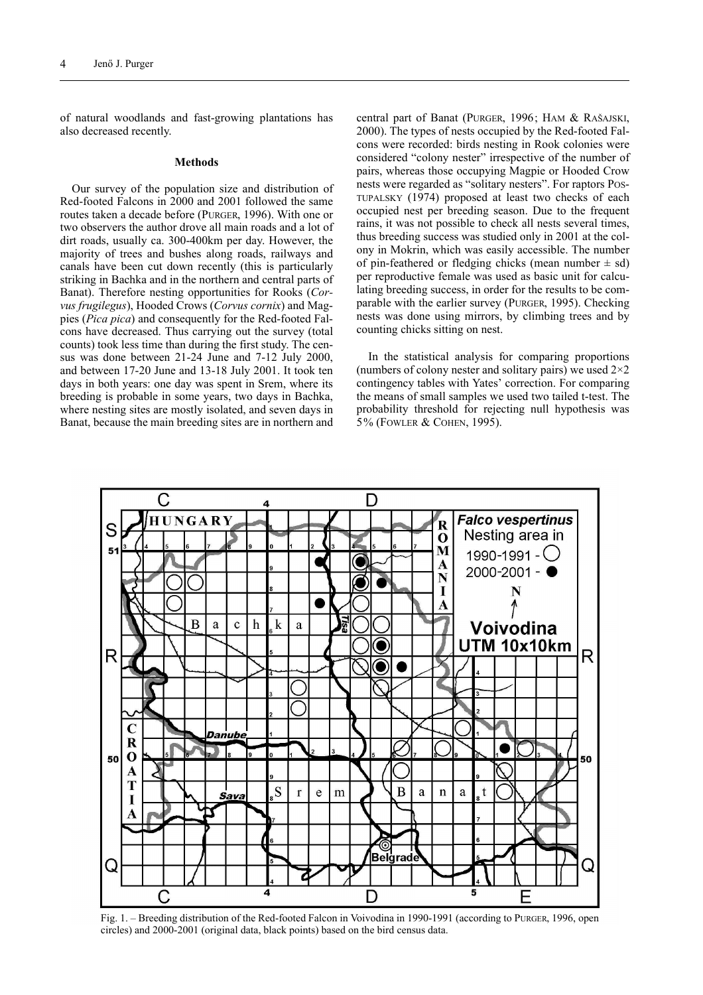of natural woodlands and fast-growing plantations has also decreased recently.

#### **Methods**

Our survey of the population size and distribution of Red-footed Falcons in 2000 and 2001 followed the same routes taken a decade before (PURGER, 1996). With one or two observers the author drove all main roads and a lot of dirt roads, usually ca. 300-400km per day. However, the majority of trees and bushes along roads, railways and canals have been cut down recently (this is particularly striking in Bachka and in the northern and central parts of Banat). Therefore nesting opportunities for Rooks (*Corvus frugilegus*), Hooded Crows (*Corvus cornix*) and Magpies (*Pica pica*) and consequently for the Red-footed Falcons have decreased. Thus carrying out the survey (total counts) took less time than during the first study. The census was done between 21-24 June and 7-12 July 2000, and between 17-20 June and 13-18 July 2001. It took ten days in both years: one day was spent in Srem, where its breeding is probable in some years, two days in Bachka, where nesting sites are mostly isolated, and seven days in Banat, because the main breeding sites are in northern and

central part of Banat (PURGER, 1996; HAM & RAŠAJSKI, 2000). The types of nests occupied by the Red-footed Falcons were recorded: birds nesting in Rook colonies were considered "colony nester" irrespective of the number of pairs, whereas those occupying Magpie or Hooded Crow nests were regarded as "solitary nesters". For raptors POS-TUPALSKY (1974) proposed at least two checks of each occupied nest per breeding season. Due to the frequent rains, it was not possible to check all nests several times, thus breeding success was studied only in 2001 at the colony in Mokrin, which was easily accessible. The number of pin-feathered or fledging chicks (mean number  $\pm$  sd) per reproductive female was used as basic unit for calculating breeding success, in order for the results to be comparable with the earlier survey (PURGER, 1995). Checking nests was done using mirrors, by climbing trees and by counting chicks sitting on nest.

In the statistical analysis for comparing proportions (numbers of colony nester and solitary pairs) we used  $2\times 2$ contingency tables with Yates' correction. For comparing the means of small samples we used two tailed t-test. The probability threshold for rejecting null hypothesis was 5% (FOWLER & COHEN, 1995).



Fig. 1. – Breeding distribution of the Red-footed Falcon in Voivodina in 1990-1991 (according to PURGER, 1996, open circles) and 2000-2001 (original data, black points) based on the bird census data.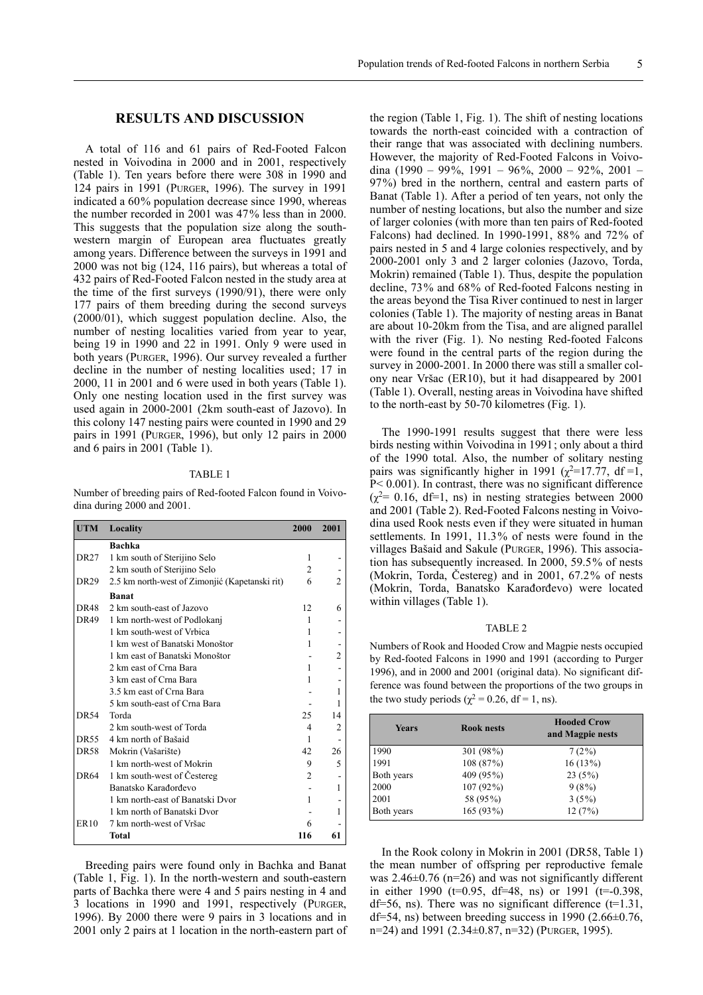A total of 116 and 61 pairs of Red-Footed Falcon nested in Voivodina in 2000 and in 2001, respectively (Table 1). Ten years before there were 308 in 1990 and 124 pairs in 1991 (PURGER, 1996). The survey in 1991 indicated a 60% population decrease since 1990, whereas the number recorded in 2001 was 47% less than in 2000. This suggests that the population size along the southwestern margin of European area fluctuates greatly among years. Difference between the surveys in 1991 and 2000 was not big (124, 116 pairs), but whereas a total of 432 pairs of Red-Footed Falcon nested in the study area at the time of the first surveys (1990/91), there were only 177 pairs of them breeding during the second surveys (2000/01), which suggest population decline. Also, the number of nesting localities varied from year to year, being 19 in 1990 and 22 in 1991. Only 9 were used in both years (PURGER, 1996). Our survey revealed a further decline in the number of nesting localities used; 17 in 2000, 11 in 2001 and 6 were used in both years (Table 1). Only one nesting location used in the first survey was used again in 2000-2001 (2km south-east of Jazovo). In this colony 147 nesting pairs were counted in 1990 and 29 pairs in 1991 (PURGER, 1996), but only 12 pairs in 2000 and 6 pairs in 2001 (Table 1).

#### TABLE 1

Number of breeding pairs of Red-footed Falcon found in Voivodina during 2000 and 2001.

| <b>UTM</b>  | Locality                                       | 2000           | 2001 |
|-------------|------------------------------------------------|----------------|------|
|             | Bachka                                         |                |      |
| DR27        | 1 km south of Sterijino Selo                   | 1              |      |
|             | 2 km south of Sterijino Selo                   | $\overline{c}$ |      |
| DR29        | 2.5 km north-west of Zimonjić (Kapetanski rit) | 6              |      |
|             | <b>Banat</b>                                   |                |      |
| <b>DR48</b> | 2 km south-east of Jazovo                      | 12             | 6    |
| DR49        | 1 km north-west of Podlokanj                   | 1              |      |
|             | 1 km south-west of Vrbica                      | 1              |      |
|             | 1 km west of Banatski Monoštor                 |                |      |
|             | 1 km east of Banatski Monoštor                 |                | 2    |
|             | 2 km east of Crna Bara                         | 1              |      |
|             | 3 km east of Crna Bara                         | 1              |      |
|             | 3.5 km east of Crna Bara                       |                |      |
|             | 5 km south-east of Crna Bara                   |                |      |
| <b>DR54</b> | Torda                                          | 25             | 14   |
|             | 2 km south-west of Torda                       | 4              |      |
| <b>DR55</b> | 4 km north of Bašaid                           | 1              |      |
| <b>DR58</b> | Mokrin (Vašarište)                             | 42             | 26   |
|             | 1 km north-west of Mokrin                      | 9              | 5    |
| DR64        | 1 km south-west of Čestereg                    | $\overline{c}$ |      |
|             | Banatsko Karađorđevo                           |                |      |
|             | 1 km north-east of Banatski Dvor               | 1              |      |
|             | 1 km north of Banatski Dvor                    |                |      |
| <b>ER10</b> | 7 km north-west of Vršac                       | 6              |      |
|             | Total                                          | 116            | 61   |

Breeding pairs were found only in Bachka and Banat (Table 1, Fig. 1). In the north-western and south-eastern parts of Bachka there were 4 and 5 pairs nesting in 4 and 3 locations in 1990 and 1991, respectively (PURGER, 1996). By 2000 there were 9 pairs in 3 locations and in 2001 only 2 pairs at 1 location in the north-eastern part of

the region (Table 1, Fig. 1). The shift of nesting locations towards the north-east coincided with a contraction of their range that was associated with declining numbers. However, the majority of Red-Footed Falcons in Voivodina (1990 – 99%, 1991 – 96%, 2000 – 92%, 2001 – 97%) bred in the northern, central and eastern parts of Banat (Table 1). After a period of ten years, not only the number of nesting locations, but also the number and size of larger colonies (with more than ten pairs of Red-footed Falcons) had declined. In 1990-1991, 88% and 72% of pairs nested in 5 and 4 large colonies respectively, and by 2000-2001 only 3 and 2 larger colonies (Jazovo, Torda, Mokrin) remained (Table 1). Thus, despite the population decline, 73% and 68% of Red-footed Falcons nesting in the areas beyond the Tisa River continued to nest in larger colonies (Table 1). The majority of nesting areas in Banat are about 10-20km from the Tisa, and are aligned parallel with the river (Fig. 1). No nesting Red-footed Falcons were found in the central parts of the region during the survey in 2000-2001. In 2000 there was still a smaller colony near Vršac (ER10), but it had disappeared by 2001 (Table 1). Overall, nesting areas in Voivodina have shifted to the north-east by 50-70 kilometres (Fig. 1).

The 1990-1991 results suggest that there were less birds nesting within Voivodina in 1991; only about a third of the 1990 total. Also, the number of solitary nesting pairs was significantly higher in 1991 ( $\chi^2$ =17.77, df =1, P< 0.001). In contrast, there was no significant difference  $(\chi^2$ = 0.16, df=1, ns) in nesting strategies between 2000 and 2001 (Table 2). Red-Footed Falcons nesting in Voivodina used Rook nests even if they were situated in human settlements. In 1991, 11.3% of nests were found in the villages Bašaid and Sakule (PURGER, 1996). This association has subsequently increased. In 2000, 59.5% of nests (Mokrin, Torda, Čestereg) and in 2001, 67.2% of nests (Mokrin, Torda, Banatsko Karađorđevo) were located within villages (Table 1).

#### TABLE 2

Numbers of Rook and Hooded Crow and Magpie nests occupied by Red-footed Falcons in 1990 and 1991 (according to Purger 1996), and in 2000 and 2001 (original data). No significant difference was found between the proportions of the two groups in the two study periods ( $\gamma^2$  = 0.26, df = 1, ns).

| <b>Years</b> | <b>Rook nests</b> | <b>Hooded Crow</b><br>and Magpie nests |
|--------------|-------------------|----------------------------------------|
| 1990         | 301 (98%)         | 7(2%)                                  |
| 1991         | 108 (87%)         | 16(13%)                                |
| Both years   | 409 (95%)         | 23(5%)                                 |
| 2000         | 107 (92%)         | 9(8%)                                  |
| 2001         | 58 (95%)          | 3(5%)                                  |
| Both years   | 165 (93%)         | 12(7%)                                 |

In the Rook colony in Mokrin in 2001 (DR58, Table 1) the mean number of offspring per reproductive female was  $2.46\pm0.76$  (n=26) and was not significantly different in either 1990 ( $t=0.95$ , df=48, ns) or 1991 ( $t=0.398$ , df=56, ns). There was no significant difference  $(t=1.31)$ , df=54, ns) between breeding success in 1990 (2.66 $\pm$ 0.76, n=24) and 1991 (2.34±0.87, n=32) (PURGER, 1995).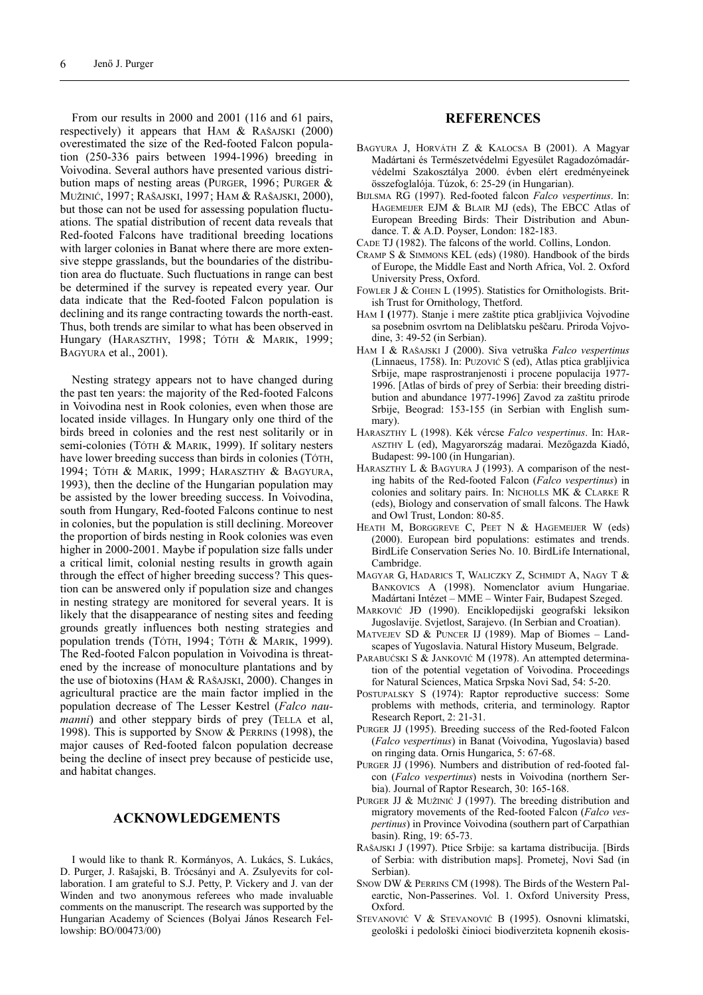From our results in 2000 and 2001 (116 and 61 pairs, respectively) it appears that HAM & RAŠAJSKI (2000) overestimated the size of the Red-footed Falcon population (250-336 pairs between 1994-1996) breeding in Voivodina. Several authors have presented various distribution maps of nesting areas (PURGER, 1996; PURGER & MUŽINIĆ, 1997; RAŠAJSKI, 1997; HAM & RAŠAJSKI, 2000), but those can not be used for assessing population fluctuations. The spatial distribution of recent data reveals that Red-footed Falcons have traditional breeding locations with larger colonies in Banat where there are more extensive steppe grasslands, but the boundaries of the distribution area do fluctuate. Such fluctuations in range can best be determined if the survey is repeated every year. Our data indicate that the Red-footed Falcon population is declining and its range contracting towards the north-east. Thus, both trends are similar to what has been observed in Hungary (HARASZTHY, 1998; TÓTH & MARIK, 1999; BAGYURA et al., 2001).

Nesting strategy appears not to have changed during the past ten years: the majority of the Red-footed Falcons in Voivodina nest in Rook colonies, even when those are located inside villages. In Hungary only one third of the birds breed in colonies and the rest nest solitarily or in semi-colonies (TÓTH & MARIK, 1999). If solitary nesters have lower breeding success than birds in colonies (TÓTH, 1994; TÓTH & MARIK, 1999; HARASZTHY & BAGYURA, 1993), then the decline of the Hungarian population may be assisted by the lower breeding success. In Voivodina, south from Hungary, Red-footed Falcons continue to nest in colonies, but the population is still declining. Moreover the proportion of birds nesting in Rook colonies was even higher in 2000-2001. Maybe if population size falls under a critical limit, colonial nesting results in growth again through the effect of higher breeding success? This question can be answered only if population size and changes in nesting strategy are monitored for several years. It is likely that the disappearance of nesting sites and feeding grounds greatly influences both nesting strategies and population trends (TÓTH, 1994; TÓTH & MARIK, 1999). The Red-footed Falcon population in Voivodina is threatened by the increase of monoculture plantations and by the use of biotoxins (HAM & RAŠAJSKI, 2000). Changes in agricultural practice are the main factor implied in the population decrease of The Lesser Kestrel (*Falco naumanni*) and other steppary birds of prey (TELLA et al, 1998). This is supported by SNOW & PERRINS (1998), the major causes of Red-footed falcon population decrease being the decline of insect prey because of pesticide use, and habitat changes.

### **ACKNOWLEDGEMENTS**

I would like to thank R. Kormányos, A. Lukács, S. Lukács, D. Purger, J. Rašajski, B. Trócsányi and A. Zsulyevits for collaboration. I am grateful to S.J. Petty, P. Vickery and J. van der Winden and two anonymous referees who made invaluable comments on the manuscript. The research was supported by the Hungarian Academy of Sciences (Bolyai János Research Fellowship: BO/00473/00)

### **REFERENCES**

- BAGYURA J, HORVÁTH Z & KALOCSA B (2001). A Magyar Madártani és Természetvédelmi Egyesület Ragadozómadárvédelmi Szakosztálya 2000. évben elért eredményeinek összefoglalója. Túzok, 6: 25-29 (in Hungarian).
- BIJLSMA RG (1997). Red-footed falcon *Falco vespertinus*. In: HAGEMEIJER EJM & BLAIR MJ (eds), The EBCC Atlas of European Breeding Birds: Their Distribution and Abundance. T. & A.D. Poyser, London: 182-183.
- CADE TJ (1982). The falcons of the world. Collins, London.
- CRAMP S & SIMMONS KEL (eds) (1980). Handbook of the birds of Europe, the Middle East and North Africa, Vol. 2. Oxford University Press, Oxford.
- FOWLER J & COHEN L (1995). Statistics for Ornithologists. British Trust for Ornithology, Thetford.
- HAM I **(**1977). Stanje i mere zaštite ptica grabljivica Vojvodine sa posebnim osvrtom na Deliblatsku peščaru. Priroda Vojvodine, 3: 49-52 (in Serbian).
- HAM I & RAŠAJSKI J (2000). Siva vetruška *Falco vespertinus* (Linnaeus, 1758). In: PUZOVIĆ S (ed), Atlas ptica grabljivica Srbije, mape rasprostranjenosti i procene populacija 1977- 1996. [Atlas of birds of prey of Serbia: their breeding distribution and abundance 1977-1996] Zavod za zaštitu prirode Srbije, Beograd: 153-155 (in Serbian with English summary).
- HARASZTHY L (1998). Kék vércse *Falco vespertinus*. In: HAR-ASZTHY L (ed), Magyarország madarai. Mezőgazda Kiadó, Budapest: 99-100 (in Hungarian).
- HARASZTHY L & BAGYURA J (1993). A comparison of the nesting habits of the Red-footed Falcon (*Falco vespertinus*) in colonies and solitary pairs. In: NICHOLLS MK & CLARKE R (eds), Biology and conservation of small falcons. The Hawk and Owl Trust, London: 80-85.
- HEATH M, BORGGREVE C, PEET N & HAGEMEIJER W (eds) (2000). European bird populations: estimates and trends. BirdLife Conservation Series No. 10. BirdLife International, Cambridge.
- MAGYAR G, HADARICS T, WALICZKY Z, SCHMIDT A, NAGY T & BANKOVICS A (1998). Nomenclator avium Hungariae. Madártani Intézet – MME – Winter Fair, Budapest Szeged.
- MARKOVIĆ JÐ (1990). Enciklopedijski geografski leksikon Jugoslavije. Svjetlost, Sarajevo. (In Serbian and Croatian).
- MATVEJEV SD & PUNCER IJ (1989). Map of Biomes Landscapes of Yugoslavia. Natural History Museum, Belgrade.
- PARABUĆSKI S & JANKOVIĆ M (1978). An attempted determination of the potential vegetation of Voivodina. Proceedings for Natural Sciences, Matica Srpska Novi Sad, 54: 5-20.
- POSTUPALSKY S (1974): Raptor reproductive success: Some problems with methods, criteria, and terminology. Raptor Research Report, 2: 21-31.
- PURGER JJ (1995). Breeding success of the Red-footed Falcon (*Falco vespertinus*) in Banat (Voivodina, Yugoslavia) based on ringing data. Ornis Hungarica, 5: 67-68.
- PURGER JJ (1996). Numbers and distribution of red-footed falcon (*Falco vespertinus*) nests in Voivodina (northern Serbia). Journal of Raptor Research, 30: 165-168.
- PURGER JJ & MUŽINIĆ J (1997). The breeding distribution and migratory movements of the Red-footed Falcon (*Falco vespertinus*) in Province Voivodina (southern part of Carpathian basin). Ring, 19: 65-73.
- RAŠAJSKI J (1997). Ptice Srbije: sa kartama distribucija. [Birds of Serbia: with distribution maps]. Prometej, Novi Sad (in Serbian).
- SNOW DW & PERRINS CM (1998). The Birds of the Western Palearctic, Non-Passerines. Vol. 1. Oxford University Press, Oxford.
- STEVANOVIĆ V & STEVANOVIĆ B (1995). Osnovni klimatski, geološki i pedološki činioci biodiverziteta kopnenih ekosis-